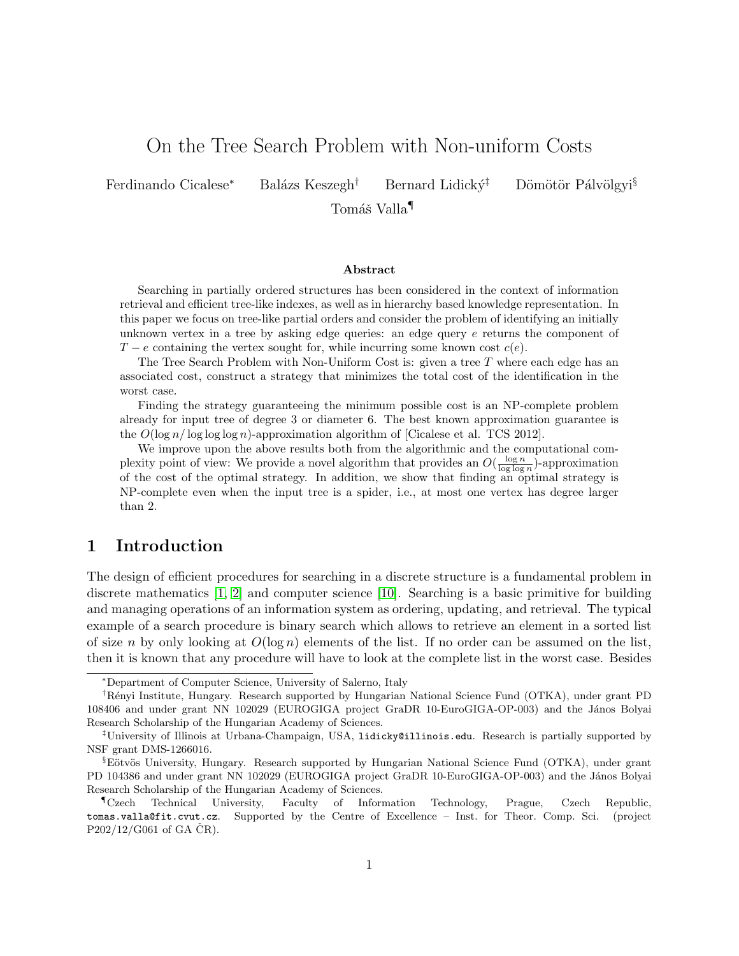# On the Tree Search Problem with Non-uniform Costs

Ferdinando Cicalese<sup>∗</sup> Balázs Keszegh<sup>†</sup> Bernard Lidický<sup>‡</sup> Dömötör Pálvölgyi<sup>§</sup>

Tomáš Valla¶

#### Abstract

Searching in partially ordered structures has been considered in the context of information retrieval and efficient tree-like indexes, as well as in hierarchy based knowledge representation. In this paper we focus on tree-like partial orders and consider the problem of identifying an initially unknown vertex in a tree by asking edge queries: an edge query  $e$  returns the component of  $T - e$  containing the vertex sought for, while incurring some known cost  $c(e)$ .

The Tree Search Problem with Non-Uniform Cost is: given a tree  $T$  where each edge has an associated cost, construct a strategy that minimizes the total cost of the identification in the worst case.

Finding the strategy guaranteeing the minimum possible cost is an NP-complete problem already for input tree of degree 3 or diameter 6. The best known approximation guarantee is the  $O(\log n/\log \log \log n)$ -approximation algorithm of [Cicalese et al. TCS 2012].

We improve upon the above results both from the algorithmic and the computational complexity point of view: We provide a novel algorithm that provides an  $O(\frac{\log n}{\log \log n})$ -approximation of the cost of the optimal strategy. In addition, we show that finding an optimal strategy is NP-complete even when the input tree is a spider, i.e., at most one vertex has degree larger than 2.

### 1 Introduction

The design of efficient procedures for searching in a discrete structure is a fundamental problem in discrete mathematics [\[1,](#page-10-0) [2\]](#page-10-1) and computer science [\[10\]](#page-11-0). Searching is a basic primitive for building and managing operations of an information system as ordering, updating, and retrieval. The typical example of a search procedure is binary search which allows to retrieve an element in a sorted list of size n by only looking at  $O(\log n)$  elements of the list. If no order can be assumed on the list, then it is known that any procedure will have to look at the complete list in the worst case. Besides

<sup>∗</sup>Department of Computer Science, University of Salerno, Italy

<sup>†</sup>R´enyi Institute, Hungary. Research supported by Hungarian National Science Fund (OTKA), under grant PD 108406 and under grant NN 102029 (EUROGIGA project GraDR 10-EuroGIGA-OP-003) and the János Bolyai Research Scholarship of the Hungarian Academy of Sciences.

<sup>‡</sup>University of Illinois at Urbana-Champaign, USA, lidicky@illinois.edu. Research is partially supported by NSF grant DMS-1266016.

<sup>&</sup>lt;sup>§</sup>Eötvös University, Hungary. Research supported by Hungarian National Science Fund (OTKA), under grant PD 104386 and under grant NN 102029 (EUROGIGA project GraDR 10-EuroGIGA-OP-003) and the János Bolyai Research Scholarship of the Hungarian Academy of Sciences.

<sup>¶</sup>Czech Technical University, Faculty of Information Technology, Prague, Czech Republic, tomas.valla@fit.cvut.cz. Supported by the Centre of Excellence – Inst. for Theor. Comp. Sci. (project  $P202/12/G061$  of GA  $\check{C}R$ ).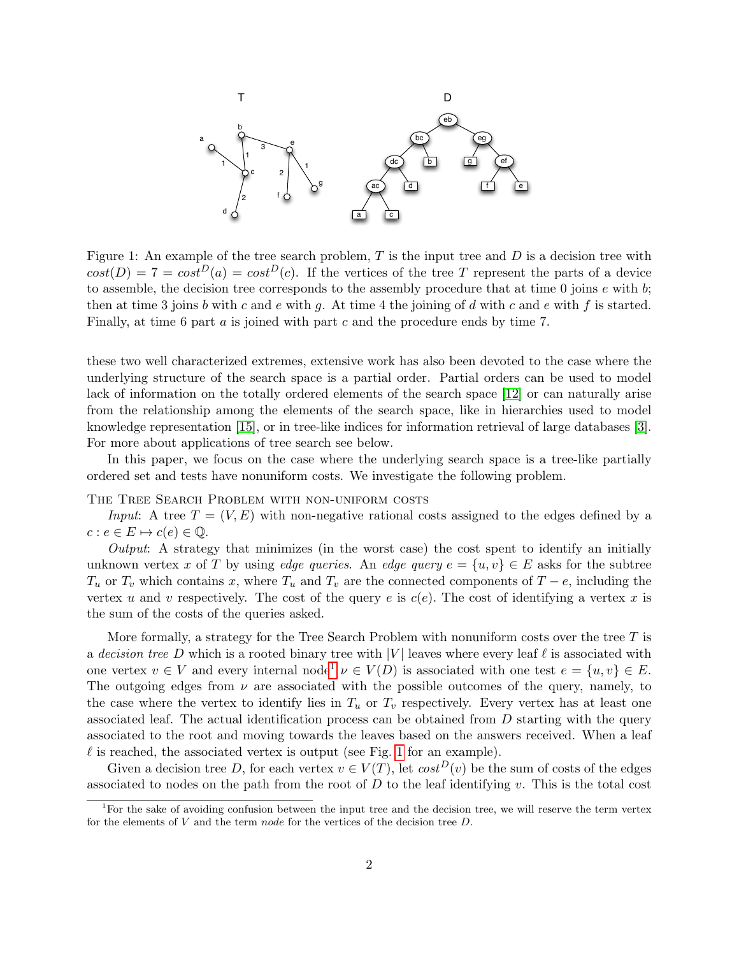<span id="page-1-1"></span>

Figure 1: An example of the tree search problem,  $T$  is the input tree and  $D$  is a decision tree with  $cost(D) = 7 = cost^D(a) = cost^D(c)$ . If the vertices of the tree T represent the parts of a device to assemble, the decision tree corresponds to the assembly procedure that at time  $0$  joins  $e$  with  $b$ ; then at time 3 joins b with c and e with g. At time 4 the joining of d with c and e with f is started. Finally, at time 6 part a is joined with part c and the procedure ends by time 7.

these two well characterized extremes, extensive work has also been devoted to the case where the underlying structure of the search space is a partial order. Partial orders can be used to model lack of information on the totally ordered elements of the search space [\[12\]](#page-11-1) or can naturally arise from the relationship among the elements of the search space, like in hierarchies used to model knowledge representation [\[15\]](#page-11-2), or in tree-like indices for information retrieval of large databases [\[3\]](#page-10-2). For more about applications of tree search see below.

In this paper, we focus on the case where the underlying search space is a tree-like partially ordered set and tests have nonuniform costs. We investigate the following problem.

THE TREE SEARCH PROBLEM WITH NON-UNIFORM COSTS

Input: A tree  $T = (V, E)$  with non-negative rational costs assigned to the edges defined by a  $c : e \in E \mapsto c(e) \in \mathbb{Q}.$ 

Output: A strategy that minimizes (in the worst case) the cost spent to identify an initially unknown vertex x of T by using edge queries. An edge query  $e = \{u, v\} \in E$  asks for the subtree  $T_u$  or  $T_v$  which contains x, where  $T_u$  and  $T_v$  are the connected components of  $T - e$ , including the vertex u and v respectively. The cost of the query e is  $c(e)$ . The cost of identifying a vertex x is the sum of the costs of the queries asked.

More formally, a strategy for the Tree Search Problem with nonuniform costs over the tree  $T$  is a decision tree D which is a rooted binary tree with  $|V|$  leaves where every leaf  $\ell$  is associated with one vertex  $v \in V$  and every internal node<sup>[1](#page-1-0)</sup>  $v \in V(D)$  is associated with one test  $e = \{u, v\} \in E$ . The outgoing edges from  $\nu$  are associated with the possible outcomes of the query, namely, to the case where the vertex to identify lies in  $T_u$  or  $T_v$  respectively. Every vertex has at least one associated leaf. The actual identification process can be obtained from  $D$  starting with the query associated to the root and moving towards the leaves based on the answers received. When a leaf  $\ell$  is reached, the associated vertex is output (see Fig. [1](#page-1-1) for an example).

Given a decision tree D, for each vertex  $v \in V(T)$ , let  $cost^{D}(v)$  be the sum of costs of the edges associated to nodes on the path from the root of  $D$  to the leaf identifying v. This is the total cost

<span id="page-1-0"></span><sup>&</sup>lt;sup>1</sup>For the sake of avoiding confusion between the input tree and the decision tree, we will reserve the term vertex for the elements of  $V$  and the term node for the vertices of the decision tree  $D$ .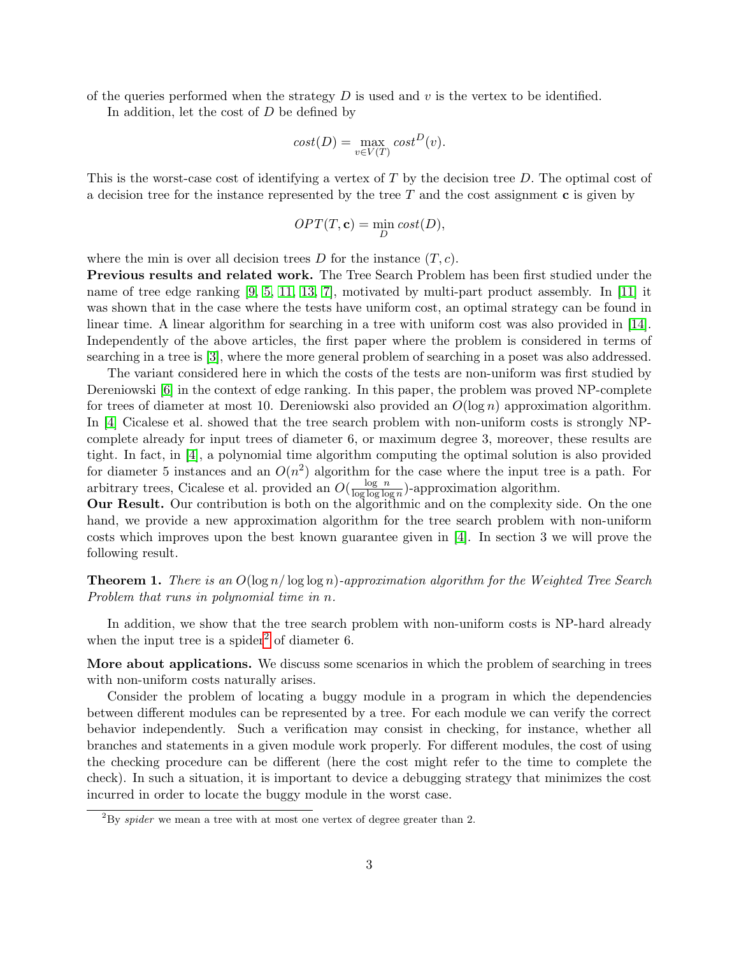of the queries performed when the strategy  $D$  is used and  $v$  is the vertex to be identified.

In addition, let the cost of  $D$  be defined by

$$
cost(D) = \max_{v \in V(T)} cost^{D}(v).
$$

This is the worst-case cost of identifying a vertex of  $T$  by the decision tree  $D$ . The optimal cost of a decision tree for the instance represented by the tree  $T$  and the cost assignment  $\bf{c}$  is given by

$$
OPT(T, \mathbf{c}) = \min_{D} cost(D),
$$

where the min is over all decision trees  $D$  for the instance  $(T, c)$ .

Previous results and related work. The Tree Search Problem has been first studied under the name of tree edge ranking [\[9,](#page-11-3) [5,](#page-10-3) [11,](#page-11-4) [13,](#page-11-5) [7\]](#page-11-6), motivated by multi-part product assembly. In [\[11\]](#page-11-4) it was shown that in the case where the tests have uniform cost, an optimal strategy can be found in linear time. A linear algorithm for searching in a tree with uniform cost was also provided in [\[14\]](#page-11-7). Independently of the above articles, the first paper where the problem is considered in terms of searching in a tree is [\[3\]](#page-10-2), where the more general problem of searching in a poset was also addressed.

The variant considered here in which the costs of the tests are non-uniform was first studied by Dereniowski [\[6\]](#page-11-8) in the context of edge ranking. In this paper, the problem was proved NP-complete for trees of diameter at most 10. Dereniowski also provided an  $O(\log n)$  approximation algorithm. In [\[4\]](#page-10-4) Cicalese et al. showed that the tree search problem with non-uniform costs is strongly NPcomplete already for input trees of diameter 6, or maximum degree 3, moreover, these results are tight. In fact, in [\[4\]](#page-10-4), a polynomial time algorithm computing the optimal solution is also provided for diameter 5 instances and an  $O(n^2)$  algorithm for the case where the input tree is a path. For arbitrary trees, Cicalese et al. provided an  $O(\frac{\log n}{\log \log \log n})$  $\frac{\log n}{\log \log \log n}$ )-approximation algorithm.

Our Result. Our contribution is both on the algorithmic and on the complexity side. On the one hand, we provide a new approximation algorithm for the tree search problem with non-uniform costs which improves upon the best known guarantee given in [\[4\]](#page-10-4). In section 3 we will prove the following result.

<span id="page-2-1"></span>**Theorem 1.** There is an  $O(\log n / \log \log n)$ -approximation algorithm for the Weighted Tree Search Problem that runs in polynomial time in n.

In addition, we show that the tree search problem with non-uniform costs is NP-hard already when the input tree is a spider<sup>[2](#page-2-0)</sup> of diameter 6.

More about applications. We discuss some scenarios in which the problem of searching in trees with non-uniform costs naturally arises.

Consider the problem of locating a buggy module in a program in which the dependencies between different modules can be represented by a tree. For each module we can verify the correct behavior independently. Such a verification may consist in checking, for instance, whether all branches and statements in a given module work properly. For different modules, the cost of using the checking procedure can be different (here the cost might refer to the time to complete the check). In such a situation, it is important to device a debugging strategy that minimizes the cost incurred in order to locate the buggy module in the worst case.

<span id="page-2-0"></span> $^{2}$ By *spider* we mean a tree with at most one vertex of degree greater than 2.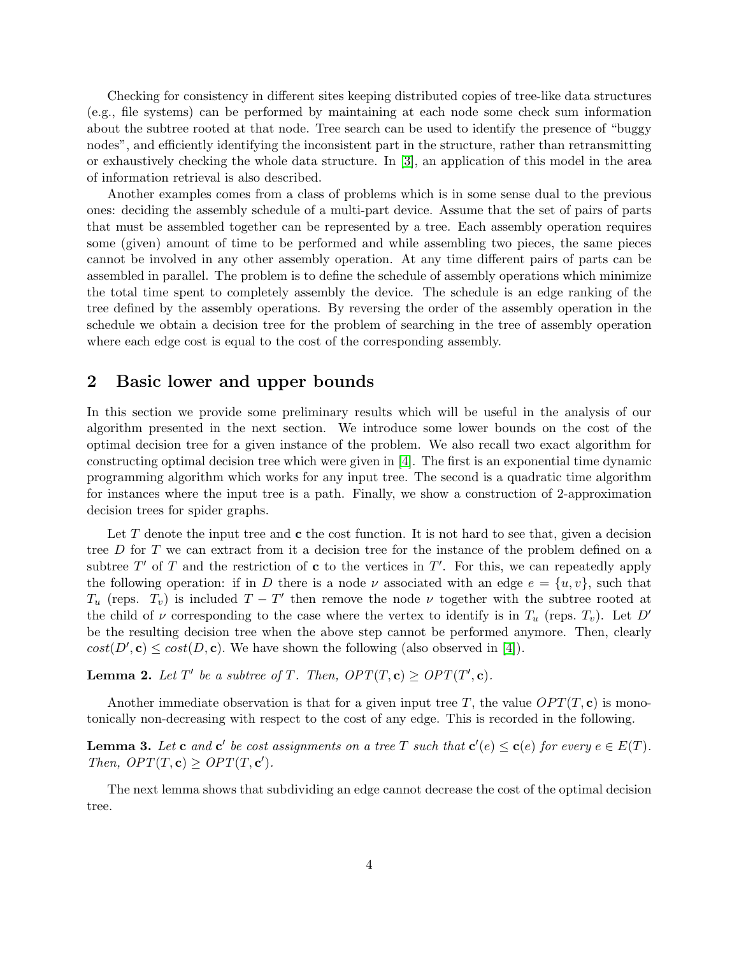Checking for consistency in different sites keeping distributed copies of tree-like data structures (e.g., file systems) can be performed by maintaining at each node some check sum information about the subtree rooted at that node. Tree search can be used to identify the presence of "buggy nodes", and efficiently identifying the inconsistent part in the structure, rather than retransmitting or exhaustively checking the whole data structure. In [\[3\]](#page-10-2), an application of this model in the area of information retrieval is also described.

Another examples comes from a class of problems which is in some sense dual to the previous ones: deciding the assembly schedule of a multi-part device. Assume that the set of pairs of parts that must be assembled together can be represented by a tree. Each assembly operation requires some (given) amount of time to be performed and while assembling two pieces, the same pieces cannot be involved in any other assembly operation. At any time different pairs of parts can be assembled in parallel. The problem is to define the schedule of assembly operations which minimize the total time spent to completely assembly the device. The schedule is an edge ranking of the tree defined by the assembly operations. By reversing the order of the assembly operation in the schedule we obtain a decision tree for the problem of searching in the tree of assembly operation where each edge cost is equal to the cost of the corresponding assembly.

#### 2 Basic lower and upper bounds

In this section we provide some preliminary results which will be useful in the analysis of our algorithm presented in the next section. We introduce some lower bounds on the cost of the optimal decision tree for a given instance of the problem. We also recall two exact algorithm for constructing optimal decision tree which were given in [\[4\]](#page-10-4). The first is an exponential time dynamic programming algorithm which works for any input tree. The second is a quadratic time algorithm for instances where the input tree is a path. Finally, we show a construction of 2-approximation decision trees for spider graphs.

Let  $T$  denote the input tree and  $\bf{c}$  the cost function. It is not hard to see that, given a decision tree D for T we can extract from it a decision tree for the instance of the problem defined on a subtree  $T'$  of T and the restriction of c to the vertices in  $T'$ . For this, we can repeatedly apply the following operation: if in D there is a node  $\nu$  associated with an edge  $e = \{u, v\}$ , such that  $T_u$  (reps.  $T_v$ ) is included  $T - T'$  then remove the node  $\nu$  together with the subtree rooted at the child of  $\nu$  corresponding to the case where the vertex to identify is in  $T_u$  (reps.  $T_v$ ). Let D' be the resulting decision tree when the above step cannot be performed anymore. Then, clearly  $cost(D', c) \leq cost(D, c)$ . We have shown the following (also observed in [\[4\]](#page-10-4)).

<span id="page-3-0"></span>**Lemma 2.** Let T' be a subtree of T. Then,  $OPT(T, c) \ge OPT(T', c)$ .

Another immediate observation is that for a given input tree T, the value  $OPT(T, c)$  is monotonically non-decreasing with respect to the cost of any edge. This is recorded in the following.

**Lemma 3.** Let **c** and **c'** be cost assignments on a tree T such that  $c'(e) \le c(e)$  for every  $e \in E(T)$ . Then,  $OPT(T, c) \ge OPT(T, c')$ .

The next lemma shows that subdividing an edge cannot decrease the cost of the optimal decision tree.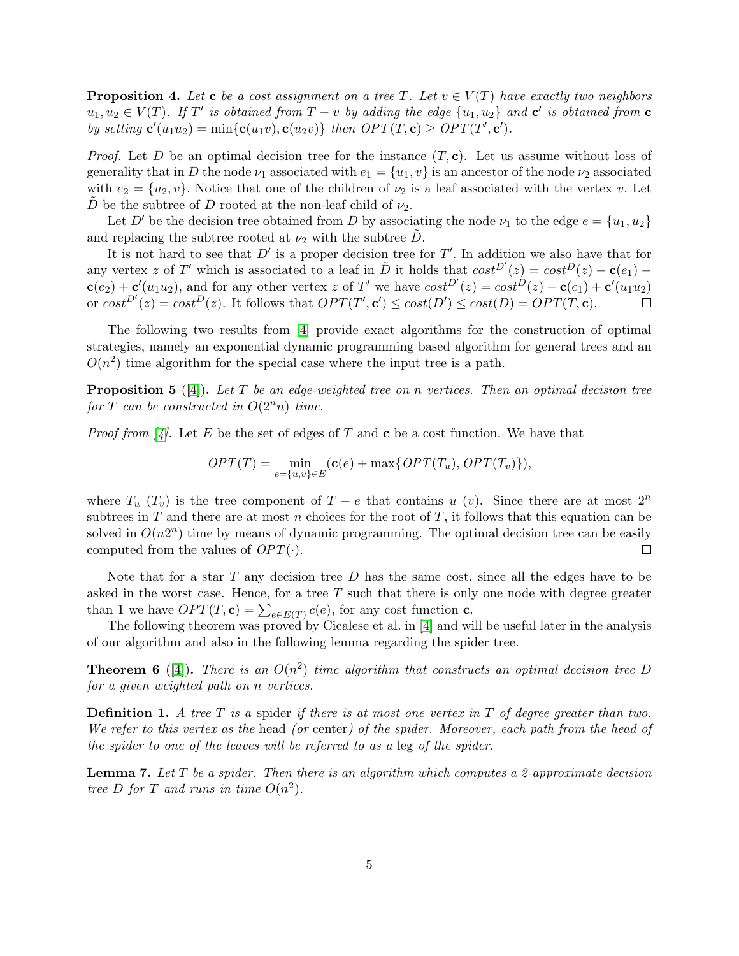<span id="page-4-3"></span>**Proposition 4.** Let **c** be a cost assignment on a tree T. Let  $v \in V(T)$  have exactly two neighbors  $u_1, u_2 \in V(T)$ . If T' is obtained from  $T - v$  by adding the edge  $\{u_1, u_2\}$  and  $\mathbf{c}'$  is obtained from  $\mathbf{c}$ by setting  $\mathbf{c}'(u_1u_2) = \min{\{\mathbf{c}(u_1v), \mathbf{c}(u_2v)\}}$  then  $OPT(T, \mathbf{c}) \ge OPT(T', \mathbf{c}')$ .

*Proof.* Let D be an optimal decision tree for the instance  $(T, c)$ . Let us assume without loss of generality that in D the node  $\nu_1$  associated with  $e_1 = \{u_1, v\}$  is an ancestor of the node  $\nu_2$  associated with  $e_2 = \{u_2, v\}$ . Notice that one of the children of  $\nu_2$  is a leaf associated with the vertex v. Let D be the subtree of D rooted at the non-leaf child of  $\nu_2$ .

Let D' be the decision tree obtained from D by associating the node  $\nu_1$  to the edge  $e = \{u_1, u_2\}$ and replacing the subtree rooted at  $\nu_2$  with the subtree D.

It is not hard to see that  $D'$  is a proper decision tree for  $T'$ . In addition we also have that for any vertex z of T' which is associated to a leaf in  $\tilde{D}$  it holds that  $cost^{D'}(z) = cost^{D}(z) - c(e_1) - c(e_2)$  $\mathbf{c}(e_2) + \mathbf{c}'(u_1u_2)$ , and for any other vertex z of T' we have  $cost^{D'}(z) = cost^{D}(z) - \mathbf{c}(e_1) + \mathbf{c}'(u_1u_2)$ or  $cost^{D'}(z) = cost^{D}(z)$ . It follows that  $OPT(T', c') \le cost(D') \le cost(D) = OPT(T, c)$ .  $\Box$ 

The following two results from [\[4\]](#page-10-4) provide exact algorithms for the construction of optimal strategies, namely an exponential dynamic programming based algorithm for general trees and an  $O(n^2)$  time algorithm for the special case where the input tree is a path.

<span id="page-4-1"></span>**Proposition 5** ([\[4\]](#page-10-4)). Let T be an edge-weighted tree on n vertices. Then an optimal decision tree for T can be constructed in  $O(2^n n)$  time.

*Proof from [\[4\]](#page-10-4).* Let E be the set of edges of T and c be a cost function. We have that

$$
OPT(T) = \min_{e = \{u,v\} \in E} (\mathbf{c}(e) + \max\{OPT(T_u), OPT(T_v)\}),
$$

where  $T_u(T_v)$  is the tree component of  $T - e$  that contains u (v). Since there are at most  $2^n$ subtrees in T and there are at most n choices for the root of T, it follows that this equation can be solved in  $O(n2^n)$  time by means of dynamic programming. The optimal decision tree can be easily computed from the values of  $OPT(\cdot)$ .  $\Box$ 

Note that for a star  $T$  any decision tree  $D$  has the same cost, since all the edges have to be asked in the worst case. Hence, for a tree  $T$  such that there is only one node with degree greater than 1 we have  $OPT(T, \mathbf{c}) = \sum_{e \in E(T)} c(e)$ , for any cost function **c**.

The following theorem was proved by Cicalese et al. in [\[4\]](#page-10-4) and will be useful later in the analysis of our algorithm and also in the following lemma regarding the spider tree.

<span id="page-4-0"></span>**Theorem 6** ([\[4\]](#page-10-4)). There is an  $O(n^2)$  time algorithm that constructs an optimal decision tree D for a given weighted path on n vertices.

**Definition 1.** A tree T is a spider if there is at most one vertex in T of degree greater than two. We refer to this vertex as the head (or center) of the spider. Moreover, each path from the head of the spider to one of the leaves will be referred to as a leg of the spider.

<span id="page-4-2"></span>**Lemma 7.** Let T be a spider. Then there is an algorithm which computes a 2-approximate decision tree D for T and runs in time  $O(n^2)$ .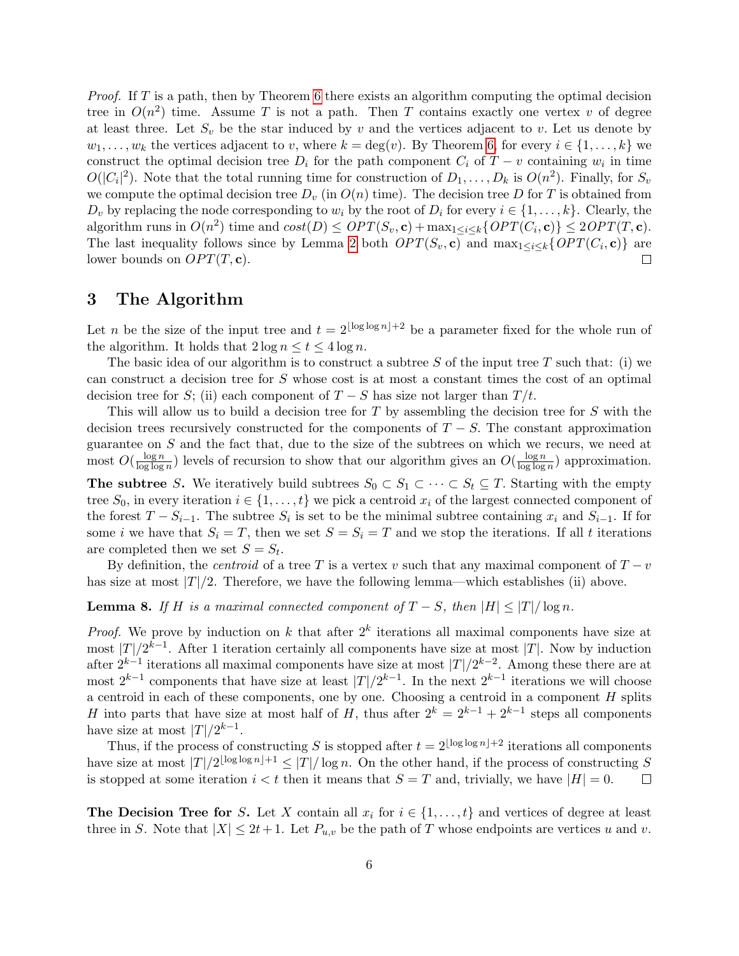Proof. If T is a path, then by Theorem [6](#page-4-0) there exists an algorithm computing the optimal decision tree in  $O(n^2)$  time. Assume T is not a path. Then T contains exactly one vertex v of degree at least three. Let  $S_v$  be the star induced by v and the vertices adjacent to v. Let us denote by  $w_1, \ldots, w_k$  the vertices adjacent to v, where  $k = \deg(v)$ . By Theorem [6,](#page-4-0) for every  $i \in \{1, \ldots, k\}$  we construct the optimal decision tree  $D_i$  for the path component  $C_i$  of  $T - v$  containing  $w_i$  in time  $O(|C_i|^2)$ . Note that the total running time for construction of  $D_1, \ldots, D_k$  is  $O(n^2)$ . Finally, for  $S_v$ we compute the optimal decision tree  $D_v$  (in  $O(n)$  time). The decision tree D for T is obtained from  $D_v$  by replacing the node corresponding to  $w_i$  by the root of  $D_i$  for every  $i \in \{1, \ldots, k\}$ . Clearly, the algorithm runs in  $O(n^2)$  time and  $cost(D) \le OPT(S_v, \mathbf{c}) + \max_{1 \le i \le k} \{ OPT(C_i, \mathbf{c}) \} \le 2OPT(T, \mathbf{c}).$ The last inequality follows since by Lemma [2](#page-3-0) both  $OPT(S_v, c)$  and  $\max_{1 \leq i \leq k} \{OPT(C_i, c)\}\$ are lower bounds on  $OPT(T, c)$ .

### 3 The Algorithm

Let n be the size of the input tree and  $t = 2^{\lfloor \log \log n \rfloor + 2}$  be a parameter fixed for the whole run of the algorithm. It holds that  $2 \log n \le t \le 4 \log n$ .

The basic idea of our algorithm is to construct a subtree S of the input tree T such that: (i) we can construct a decision tree for S whose cost is at most a constant times the cost of an optimal decision tree for S; (ii) each component of  $T-S$  has size not larger than  $T/t$ .

This will allow us to build a decision tree for  $T$  by assembling the decision tree for  $S$  with the decision trees recursively constructed for the components of  $T - S$ . The constant approximation guarantee on S and the fact that, due to the size of the subtrees on which we recurs, we need at most  $O(\frac{\log n}{\log \log n})$  $\frac{\log n}{\log \log n}$ ) levels of recursion to show that our algorithm gives an  $O(\frac{\log n}{\log \log n})$  $\frac{\log n}{\log \log n}$  approximation. The subtree S. We iteratively build subtrees  $S_0 \subset S_1 \subset \cdots \subset S_t \subseteq T$ . Starting with the empty tree  $S_0$ , in every iteration  $i \in \{1, \ldots, t\}$  we pick a centroid  $x_i$  of the largest connected component of the forest  $T - S_{i-1}$ . The subtree  $S_i$  is set to be the minimal subtree containing  $x_i$  and  $S_{i-1}$ . If for some i we have that  $S_i = T$ , then we set  $S = S_i = T$  and we stop the iterations. If all t iterations are completed then we set  $S = S_t$ .

By definition, the *centroid* of a tree T is a vertex v such that any maximal component of  $T - v$ has size at most  $|T|/2$ . Therefore, we have the following lemma—which establishes (ii) above.

#### <span id="page-5-0"></span>**Lemma 8.** If H is a maximal connected component of  $T - S$ , then  $|H| \leq |T|/\log n$ .

*Proof.* We prove by induction on k that after  $2^k$  iterations all maximal components have size at most  $|T|/2^{k-1}$ . After 1 iteration certainly all components have size at most  $|T|$ . Now by induction after  $2^{k-1}$  iterations all maximal components have size at most  $|T|/2^{k-2}$ . Among these there are at most  $2^{k-1}$  components that have size at least  $|T|/2^{k-1}$ . In the next  $2^{k-1}$  iterations we will choose a centroid in each of these components, one by one. Choosing a centroid in a component  $H$  splits H into parts that have size at most half of H, thus after  $2^k = 2^{k-1} + 2^{k-1}$  steps all components have size at most  $|T|/2^{k-1}$ .

Thus, if the process of constructing S is stopped after  $t = 2^{\lfloor \log \log n \rfloor + 2}$  iterations all components have size at most  $|T|/2^{\lfloor \log \log n \rfloor +1} \leq |T|/\log n$ . On the other hand, if the process of constructing S is stopped at some iteration  $i < t$  then it means that  $S = T$  and, trivially, we have  $|H| = 0$ .

The Decision Tree for S. Let X contain all  $x_i$  for  $i \in \{1, \ldots, t\}$  and vertices of degree at least three in S. Note that  $|X| \leq 2t+1$ . Let  $P_{u,v}$  be the path of T whose endpoints are vertices u and v.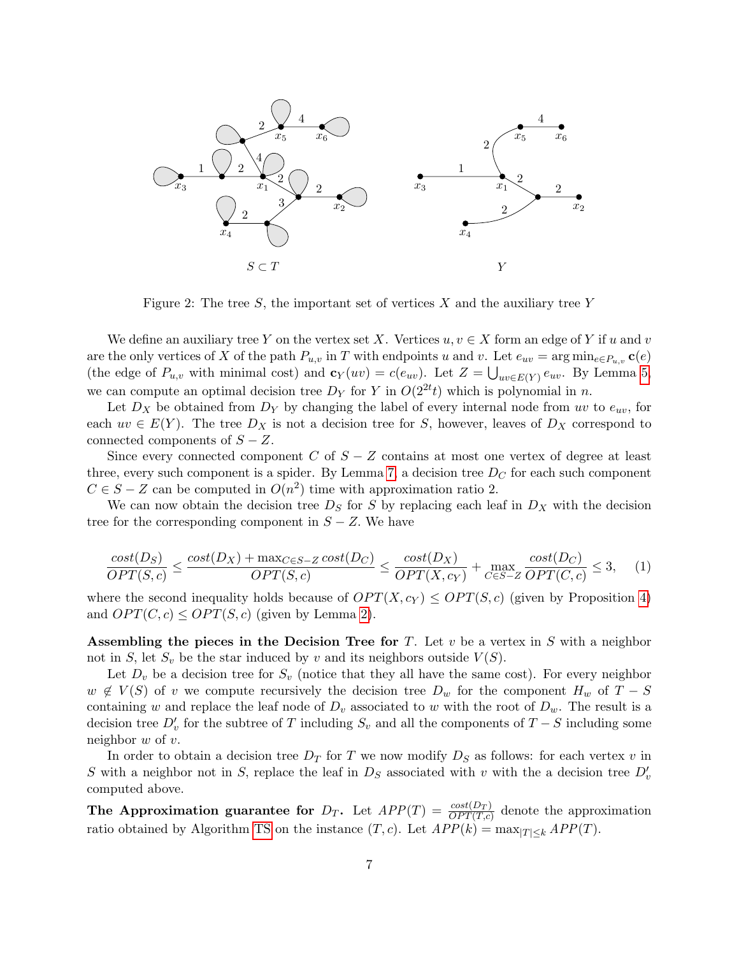

Figure 2: The tree  $S$ , the important set of vertices X and the auxiliary tree Y

We define an auxiliary tree Y on the vertex set X. Vertices  $u, v \in X$  form an edge of Y if u and v are the only vertices of X of the path  $P_{u,v}$  in T with endpoints u and v. Let  $e_{uv} = \arg \min_{e \in P_{u,v}} c(e)$ (the edge of  $P_{u,v}$  with minimal cost) and  $\mathbf{c}_Y(uv) = c(e_{uv})$ . Let  $Z = \bigcup_{uv \in E(Y)} e_{uv}$ . By Lemma [5,](#page-4-1) we can compute an optimal decision tree  $D_Y$  for Y in  $O(2^{2t}t)$  which is polynomial in n.

Let  $D_X$  be obtained from  $D_Y$  by changing the label of every internal node from uv to  $e_{uv}$ , for each  $uv \in E(Y)$ . The tree  $D_X$  is not a decision tree for S, however, leaves of  $D_X$  correspond to connected components of  $S - Z$ .

Since every connected component C of  $S - Z$  contains at most one vertex of degree at least three, every such component is a spider. By Lemma [7,](#page-4-2) a decision tree  $D<sub>C</sub>$  for each such component  $C \in S - Z$  can be computed in  $O(n^2)$  time with approximation ratio 2.

We can now obtain the decision tree  $D<sub>S</sub>$  for S by replacing each leaf in  $D<sub>X</sub>$  with the decision tree for the corresponding component in  $S - Z$ . We have

<span id="page-6-0"></span>
$$
\frac{cost(D_S)}{OPT(S, c)} \le \frac{cost(D_X) + \max_{C \in S - Z} cost(D_C)}{OPT(S, c)} \le \frac{cost(D_X)}{OPT(X, c_Y)} + \max_{C \in S - Z} \frac{cost(D_C)}{OPT(C, c)} \le 3,\tag{1}
$$

where the second inequality holds because of  $OPT(X, c_Y) \leq OPT(S, c)$  (given by Proposition [4\)](#page-4-3) and  $OPT(C, c) \leq OPT(S, c)$  (given by Lemma [2\)](#page-3-0).

Assembling the pieces in the Decision Tree for T. Let  $v$  be a vertex in S with a neighbor not in S, let  $S_v$  be the star induced by v and its neighbors outside  $V(S)$ .

Let  $D_v$  be a decision tree for  $S_v$  (notice that they all have the same cost). For every neighbor  $w \notin V(S)$  of v we compute recursively the decision tree  $D_w$  for the component  $H_w$  of  $T-S$ containing w and replace the leaf node of  $D_v$  associated to w with the root of  $D_w$ . The result is a decision tree  $D_v'$  for the subtree of T including  $S_v$  and all the components of  $T-S$  including some neighbor  $w$  of  $v$ .

In order to obtain a decision tree  $D_T$  for T we now modify  $D_S$  as follows: for each vertex v in S with a neighbor not in S, replace the leaf in  $D<sub>S</sub>$  associated with v with the a decision tree  $D'<sub>v</sub>$ computed above.

The Approximation guarantee for  $D_T$ . Let  $APP(T) = \frac{cost(D_T)}{OPT(T,c)}$  denote the approximation ratio obtained by Algorithm [TS](#page-8-0) on the instance  $(T, c)$ . Let  $APP(k) = \max_{|T| \leq k} APP(T)$ .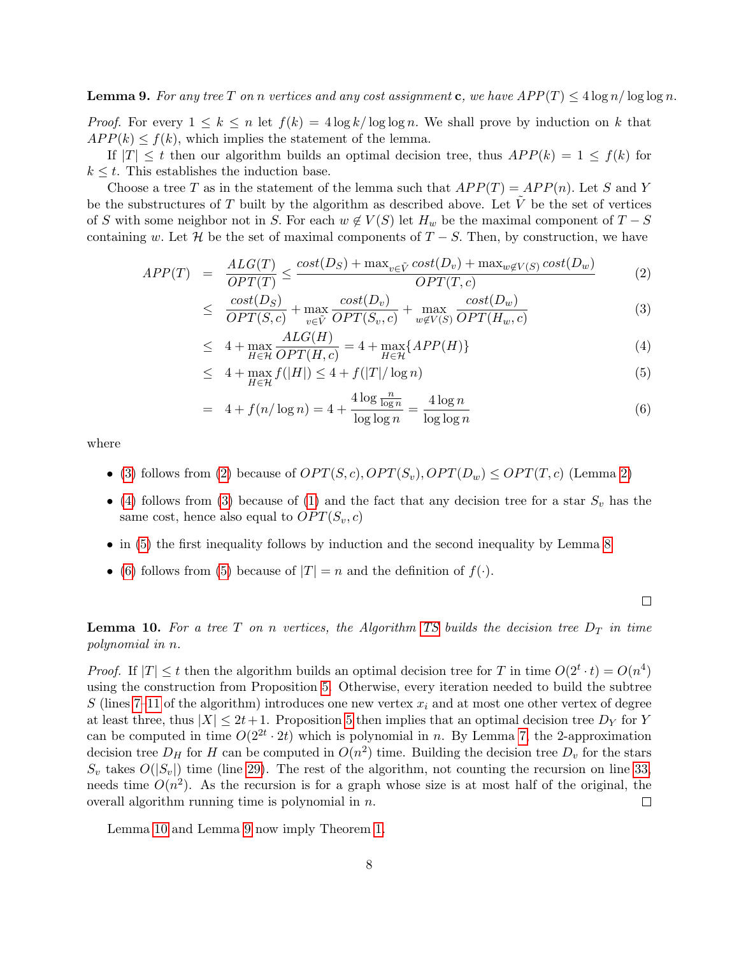<span id="page-7-2"></span>**Lemma 9.** For any tree T on n vertices and any cost assignment c, we have  $APP(T) \leq 4 \log n / \log \log n$ .

*Proof.* For every  $1 \leq k \leq n$  let  $f(k) = 4 \log k / \log \log n$ . We shall prove by induction on k that  $APP(k) \leq f(k)$ , which implies the statement of the lemma.

If  $|T| \leq t$  then our algorithm builds an optimal decision tree, thus  $APP(k) = 1 \leq f(k)$  for  $k \leq t$ . This establishes the induction base.

Choose a tree T as in the statement of the lemma such that  $APP(T) = APP(n)$ . Let S and Y be the substructures of  $T$  built by the algorithm as described above. Let  $V$  be the set of vertices of S with some neighbor not in S. For each  $w \notin V(S)$  let  $H_w$  be the maximal component of  $T-S$ containing w. Let H be the set of maximal components of  $T-S$ . Then, by construction, we have

<span id="page-7-0"></span>
$$
APP(T) = \frac{ALG(T)}{OPT(T)} \le \frac{cost(D_S) + \max_{v \in \tilde{V}} cost(D_v) + \max_{w \notin V(S)} cost(D_w)}{OPT(T, c)}
$$
(2)

$$
\leq \frac{\text{cost}(D_S)}{OPT(S, c)} + \max_{v \in \tilde{V}} \frac{\text{cost}(D_v)}{OPT(S_v, c)} + \max_{w \notin V(S)} \frac{\text{cost}(D_w)}{OPT(H_w, c)}
$$
(3)

$$
\leq 4 + \max_{H \in \mathcal{H}} \frac{ALG(H)}{OPT(H, c)} = 4 + \max_{H \in \mathcal{H}} \{APP(H)\} \tag{4}
$$

$$
\leq 4 + \max_{H \in \mathcal{H}} f(|H|) \leq 4 + f(|T|/\log n) \tag{5}
$$

$$
= 4 + f(n/\log n) = 4 + \frac{4\log\frac{n}{\log n}}{\log\log n} = \frac{4\log n}{\log\log n}
$$
\n(6)

where

- [\(3\)](#page-7-0) follows from [\(2\)](#page-7-0) because of  $OPT(S, c)$ ,  $OPT(S_v)$ ,  $OPT(D_w) \leq OPT(T, c)$  (Lemma [2\)](#page-3-0)
- [\(4\)](#page-7-0) follows from [\(3\)](#page-7-0) because of [\(1\)](#page-6-0) and the fact that any decision tree for a star  $S_v$  has the same cost, hence also equal to  $OPT(S_v, c)$
- in [\(5\)](#page-7-0) the first inequality follows by induction and the second inequality by Lemma [8](#page-5-0)
- [\(6\)](#page-7-0) follows from [\(5\)](#page-7-0) because of  $|T| = n$  and the definition of  $f(\cdot)$ .

 $\Box$ 

<span id="page-7-1"></span>**Lemma 10.** For a tree T on n vertices, the Algorithm [TS](#page-8-0) builds the decision tree  $D_T$  in time polynomial in n.

*Proof.* If  $|T| \leq t$  then the algorithm builds an optimal decision tree for T in time  $O(2^t \cdot t) = O(n^4)$ using the construction from Proposition [5.](#page-4-1) Otherwise, every iteration needed to build the subtree S (lines [7–11](#page-8-0) of the algorithm) introduces one new vertex  $x_i$  and at most one other vertex of degree at least three, thus  $|X| \leq 2t+1$ . Proposition [5](#page-4-1) then implies that an optimal decision tree  $D<sub>Y</sub>$  for Y can be computed in time  $O(2^{2t} \cdot 2t)$  which is polynomial in n. By Lemma [7,](#page-4-2) the 2-approximation decision tree  $D_H$  for H can be computed in  $O(n^2)$  time. Building the decision tree  $D_v$  for the stars  $S_v$  takes  $O(|S_v|)$  time (line [29\)](#page-8-0). The rest of the algorithm, not counting the recursion on line [33,](#page-8-0) needs time  $O(n^2)$ . As the recursion is for a graph whose size is at most half of the original, the overall algorithm running time is polynomial in  $n$ .  $\Box$ 

Lemma [10](#page-7-1) and Lemma [9](#page-7-2) now imply Theorem [1.](#page-2-1)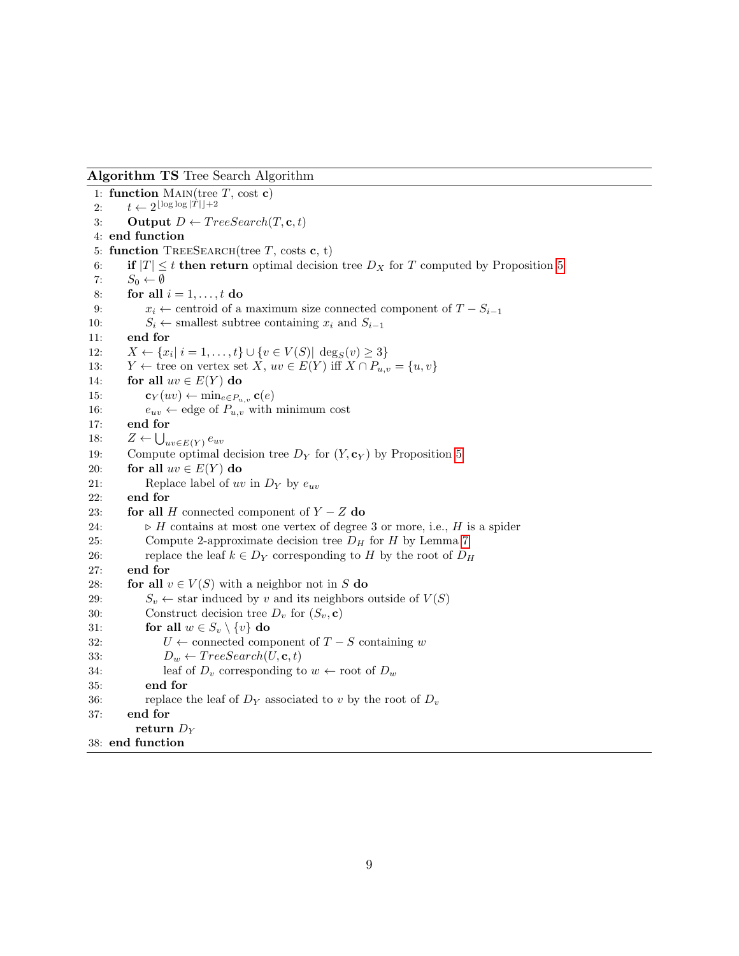Algorithm TS Tree Search Algorithm

<span id="page-8-0"></span>1: function MAIN(tree  $T$ , cost c) 2:  $t \leftarrow 2^{\lfloor \log \log |T| \rfloor + 2}$ 3: Output  $D \leftarrow TreeSearch(T, \mathbf{c}, t)$ 4: end function 5: function TREESEARCH(tree T, costs c, t) 6: if  $|T| \leq t$  then return optimal decision tree  $D_X$  for T computed by Proposition [5](#page-4-1)<br>7:  $S_0 \leftarrow \emptyset$ 7:  $S_0 \leftarrow \emptyset$ <br>8: for all for all  $i = 1, \ldots, t$  do 9:  $x_i \leftarrow$  centroid of a maximum size connected component of  $T - S_{i-1}$ <br>10:  $S_i \leftarrow$  smallest subtree containing  $x_i$  and  $S_{i-1}$ 10:  $S_i$  ← smallest subtree containing  $x_i$  and  $S_{i-1}$ <br>11: **end for** end for 12:  $X \leftarrow \{x_i | i = 1, ..., t\} \cup \{v \in V(S) | \deg_S(v) \geq 3\}$ 13:  $Y \leftarrow$  tree on vertex set  $X$ ,  $uv \in E(Y)$  iff  $X \cap P_{u,v} = \{u, v\}$ <br>14: **for all**  $uv \in E(Y)$  **do** 14: for all  $uv \in E(Y)$  do<br>15:  $c_Y(uv) \leftarrow \min_{e \in P}$ 15:  $\mathbf{c}_Y(uv) \leftarrow \min_{e \in P_{u,v}} \mathbf{c}(e)$ <br>16:  $e_{uv} \leftarrow \text{edge of } P_{u,v} \text{ with}$ 16:  $e_{uv} \leftarrow$  edge of  $P_{u,v}$  with minimum cost 17: **end for** end for 18:  $Z \leftarrow \bigcup_{uv \in E(Y)} e_{uv}$ 19: Compute optimal decision tree  $D_Y$  for  $(Y, \mathbf{c}_Y)$  by Proposition [5](#page-4-1) 20: **for all**  $uv \in E(Y)$  **do**<br>21: **Replace label of** *ut* Replace label of uv in  $D_Y$  by  $e_{uv}$ 22: end for 23: **for all** H connected component of  $Y - Z$  do 24:  $\rightarrow$  H contains at most one vertex of degree  $\triangleright$  H contains at most one vertex of degree 3 or more, i.e., H is a spider 25: Compute 2-approximate decision tree  $D_H$  for H by Lemma [7](#page-4-2) 26: replace the leaf  $k \in D_Y$  corresponding to H by the root of  $D_H$ <br>27: **end for** end for 28: **for all**  $v \in V(S)$  with a neighbor not in S **do** 29:  $S_v \leftarrow$  star induced by v and its neighbors of 29:  $S_v \leftarrow$  star induced by v and its neighbors outside of  $V(S)$ <br>30: Construct decision tree  $D_v$  for  $(S_v, c)$ Construct decision tree  $D_v$  for  $(S_v, \mathbf{c})$ 31: **for all**  $w \in S_v \setminus \{v\}$  **do**<br>32:  $U \leftarrow$  connected com 32:  $U \leftarrow$  connected component of  $T - S$  containing w<br>33:  $D_w \leftarrow TreeSearch(U, \mathbf{c}, t)$ 33:  $D_w \leftarrow TreeSearch(U, \mathbf{c}, t)$ <br>34: leaf of  $D_v$  corresponding to 34: leaf of  $D_v$  corresponding to  $w \leftarrow$  root of  $D_w$ <br>35: **end for** end for 36: replace the leaf of  $D<sub>Y</sub>$  associated to v by the root of  $D<sub>v</sub>$ 37: end for return  $D_Y$ 38: end function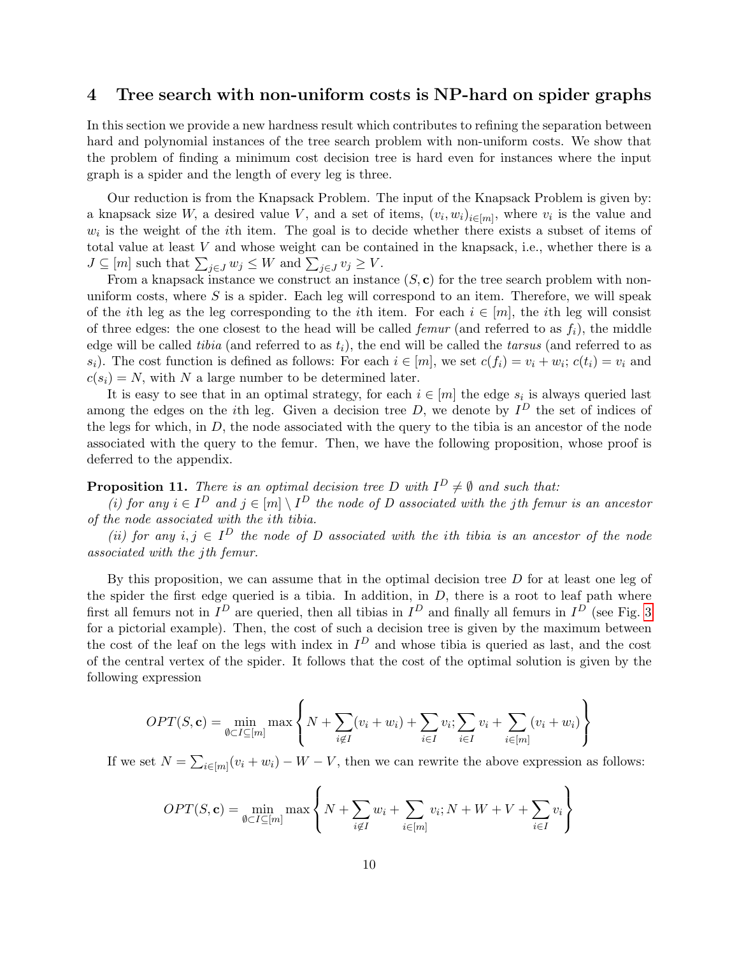# 4 Tree search with non-uniform costs is NP-hard on spider graphs

In this section we provide a new hardness result which contributes to refining the separation between hard and polynomial instances of the tree search problem with non-uniform costs. We show that the problem of finding a minimum cost decision tree is hard even for instances where the input graph is a spider and the length of every leg is three.

Our reduction is from the Knapsack Problem. The input of the Knapsack Problem is given by: a knapsack size W, a desired value V, and a set of items,  $(v_i, w_i)_{i \in [m]}$ , where  $v_i$  is the value and  $w_i$  is the weight of the *i*th item. The goal is to decide whether there exists a subset of items of total value at least V and whose weight can be contained in the knapsack, i.e., whether there is a  $J \subseteq [m]$  such that  $\sum_{j \in J} w_j \leq W$  and  $\sum_{j \in J} v_j \geq V$ .

From a knapsack instance we construct an instance  $(S, c)$  for the tree search problem with nonuniform costs, where  $S$  is a spider. Each leg will correspond to an item. Therefore, we will speak of the ith leg as the leg corresponding to the ith item. For each  $i \in [m]$ , the ith leg will consist of three edges: the one closest to the head will be called *femur* (and referred to as  $f_i$ ), the middle edge will be called tibia (and referred to as  $t_i$ ), the end will be called the tarsus (and referred to as  $s_i$ ). The cost function is defined as follows: For each  $i \in [m]$ , we set  $c(f_i) = v_i + w_i$ ;  $c(t_i) = v_i$  and  $c(s_i) = N$ , with N a large number to be determined later.

It is easy to see that in an optimal strategy, for each  $i \in [m]$  the edge  $s_i$  is always queried last among the edges on the *i*th leg. Given a decision tree D, we denote by  $I<sup>D</sup>$  the set of indices of the legs for which, in  $D$ , the node associated with the query to the tibia is an ancestor of the node associated with the query to the femur. Then, we have the following proposition, whose proof is deferred to the appendix.

# <span id="page-9-0"></span>**Proposition 11.** There is an optimal decision tree D with  $I^D \neq \emptyset$  and such that:

(i) for any  $i \in I^D$  and  $j \in [m] \setminus I^D$  the node of D associated with the jth femur is an ancestor of the node associated with the ith tibia.

(ii) for any  $i, j \in I^D$  the node of D associated with the ith tibia is an ancestor of the node associated with the jth femur.

By this proposition, we can assume that in the optimal decision tree  $D$  for at least one leg of the spider the first edge queried is a tibia. In addition, in  $D$ , there is a root to leaf path where first all femurs not in  $I^D$  are queried, then all tibias in  $I^D$  and finally all femurs in  $I^D$  (see Fig. [3](#page-10-5) for a pictorial example). Then, the cost of such a decision tree is given by the maximum between the cost of the leaf on the legs with index in  $I^D$  and whose tibia is queried as last, and the cost of the central vertex of the spider. It follows that the cost of the optimal solution is given by the following expression

$$
OPT(S, \mathbf{c}) = \min_{\emptyset \subset I \subseteq [m]} \max \left\{ N + \sum_{i \notin I} (v_i + w_i) + \sum_{i \in I} v_i; \sum_{i \in I} v_i + \sum_{i \in [m]} (v_i + w_i) \right\}
$$

If we set  $N = \sum_{i \in [m]} (v_i + w_i) - W - V$ , then we can rewrite the above expression as follows:

$$
OPT(S, \mathbf{c}) = \min_{\emptyset \subset I \subseteq [m]} \max \left\{ N + \sum_{i \notin I} w_i + \sum_{i \in [m]} v_i; N + W + V + \sum_{i \in I} v_i \right\}
$$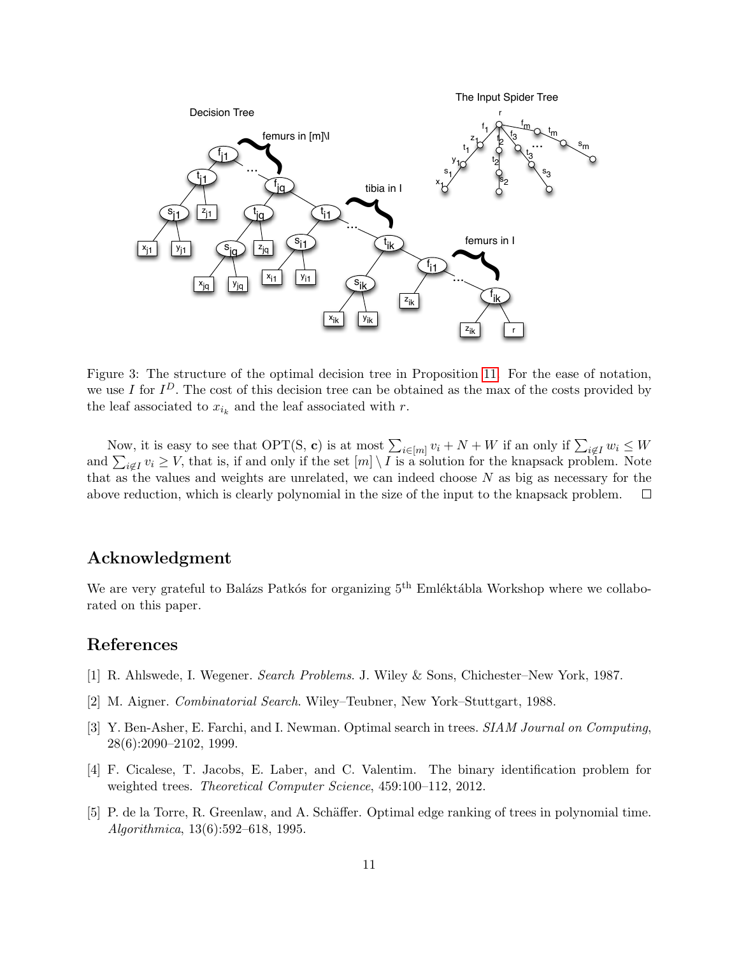

<span id="page-10-5"></span>Figure 3: The structure of the optimal decision tree in Proposition [11.](#page-9-0) For the ease of notation, we use I for  $I^D$ . The cost of this decision tree can be obtained as the max of the costs provided by the leaf associated to  $x_{i_k}$  and the leaf associated with r.

Now, it is easy to see that OPT(S, c) is at most  $\sum_{i\in[m]} v_i + N + W$  if an only if  $\sum_{i\notin I} w_i \leq W$ and  $\sum_{i \notin I} v_i \geq V$ , that is, if and only if the set  $[m] \setminus I$  is a solution for the knapsack problem. Note that as the values and weights are unrelated, we can indeed choose  $N$  as big as necessary for the above reduction, which is clearly polynomial in the size of the input to the knapsack problem.  $\Box$ 

### Acknowledgment

We are very grateful to Balázs Patkós for organizing  $5<sup>th</sup>$  Emléktábla Workshop where we collaborated on this paper.

### References

- <span id="page-10-0"></span>[1] R. Ahlswede, I. Wegener. Search Problems. J. Wiley & Sons, Chichester–New York, 1987.
- <span id="page-10-1"></span>[2] M. Aigner. Combinatorial Search. Wiley–Teubner, New York–Stuttgart, 1988.
- <span id="page-10-2"></span>[3] Y. Ben-Asher, E. Farchi, and I. Newman. Optimal search in trees. SIAM Journal on Computing, 28(6):2090–2102, 1999.
- <span id="page-10-4"></span>[4] F. Cicalese, T. Jacobs, E. Laber, and C. Valentim. The binary identification problem for weighted trees. *Theoretical Computer Science*, 459:100–112, 2012.
- <span id="page-10-3"></span>[5] P. de la Torre, R. Greenlaw, and A. Schäffer. Optimal edge ranking of trees in polynomial time. Algorithmica, 13(6):592–618, 1995.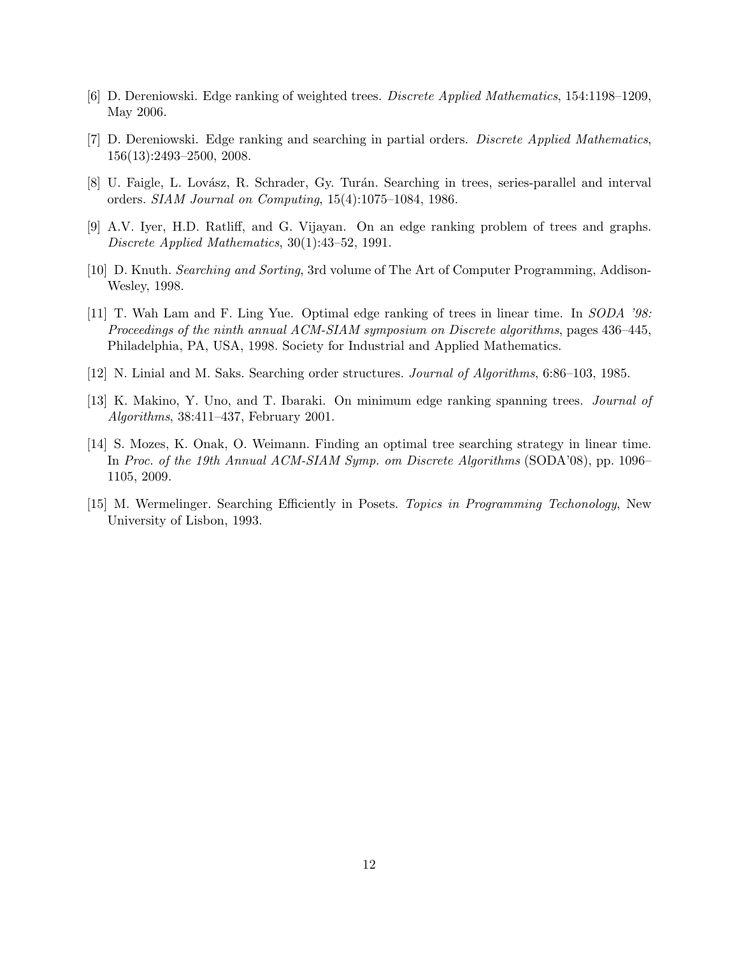- <span id="page-11-8"></span>[6] D. Dereniowski. Edge ranking of weighted trees. Discrete Applied Mathematics, 154:1198–1209, May 2006.
- <span id="page-11-6"></span>[7] D. Dereniowski. Edge ranking and searching in partial orders. Discrete Applied Mathematics, 156(13):2493–2500, 2008.
- [8] U. Faigle, L. Lovász, R. Schrader, Gy. Turán. Searching in trees, series-parallel and interval orders. SIAM Journal on Computing, 15(4):1075–1084, 1986.
- <span id="page-11-3"></span>[9] A.V. Iyer, H.D. Ratliff, and G. Vijayan. On an edge ranking problem of trees and graphs. Discrete Applied Mathematics, 30(1):43–52, 1991.
- <span id="page-11-0"></span>[10] D. Knuth. Searching and Sorting, 3rd volume of The Art of Computer Programming, Addison-Wesley, 1998.
- <span id="page-11-4"></span>[11] T. Wah Lam and F. Ling Yue. Optimal edge ranking of trees in linear time. In SODA '98: Proceedings of the ninth annual ACM-SIAM symposium on Discrete algorithms, pages 436–445, Philadelphia, PA, USA, 1998. Society for Industrial and Applied Mathematics.
- <span id="page-11-1"></span>[12] N. Linial and M. Saks. Searching order structures. Journal of Algorithms, 6:86–103, 1985.
- <span id="page-11-5"></span>[13] K. Makino, Y. Uno, and T. Ibaraki. On minimum edge ranking spanning trees. Journal of Algorithms, 38:411–437, February 2001.
- <span id="page-11-7"></span>[14] S. Mozes, K. Onak, O. Weimann. Finding an optimal tree searching strategy in linear time. In Proc. of the 19th Annual ACM-SIAM Symp. om Discrete Algorithms (SODA'08), pp. 1096– 1105, 2009.
- <span id="page-11-2"></span>[15] M. Wermelinger. Searching Efficiently in Posets. Topics in Programming Techonology, New University of Lisbon, 1993.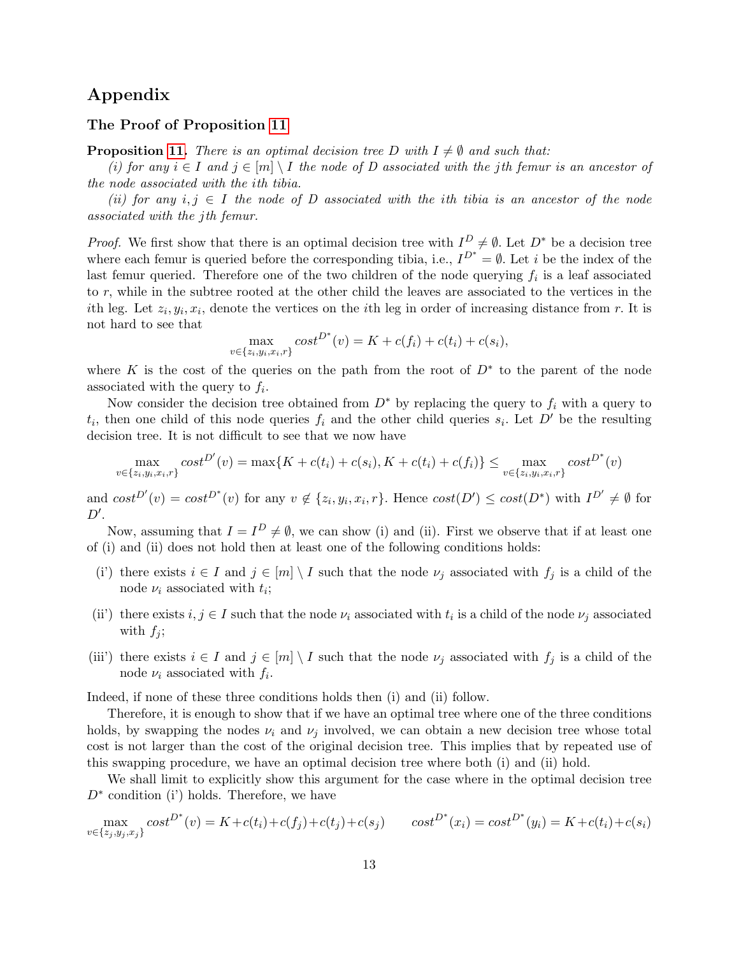## Appendix

#### The Proof of Proposition [11](#page-9-0)

**Proposition [11.](#page-9-0)** There is an optimal decision tree D with  $I \neq \emptyset$  and such that:

(i) for any  $i \in I$  and  $j \in [m] \setminus I$  the node of D associated with the jth femur is an ancestor of the node associated with the ith tibia.

(ii) for any  $i, j \in I$  the node of D associated with the ith tibia is an ancestor of the node associated with the jth femur.

*Proof.* We first show that there is an optimal decision tree with  $I_{\text{out}}^D \neq \emptyset$ . Let  $D^*$  be a decision tree where each femur is queried before the corresponding tibia, i.e.,  $I^{D^*} = \emptyset$ . Let *i* be the index of the last femur queried. Therefore one of the two children of the node querying  $f_i$  is a leaf associated to r, while in the subtree rooted at the other child the leaves are associated to the vertices in the ith leg. Let  $z_i, y_i, x_i$ , denote the vertices on the *i*th leg in order of increasing distance from r. It is not hard to see that

$$
\max_{v \in \{z_i, y_i, x_i, r\}} cost^{D^*}(v) = K + c(f_i) + c(t_i) + c(s_i),
$$

where K is the cost of the queries on the path from the root of  $D^*$  to the parent of the node associated with the query to  $f_i$ .

Now consider the decision tree obtained from  $D^*$  by replacing the query to  $f_i$  with a query to  $t_i$ , then one child of this node queries  $f_i$  and the other child queries  $s_i$ . Let D' be the resulting decision tree. It is not difficult to see that we now have

$$
\max_{v \in \{z_i, y_i, x_i, r\}} cost^{D'}(v) = \max\{K + c(t_i) + c(s_i), K + c(t_i) + c(f_i)\} \le \max_{v \in \{z_i, y_i, x_i, r\}} cost^{D^*}(v)
$$

and  $cost^{D'}(v) = cost^{D^*}(v)$  for any  $v \notin \{z_i, y_i, x_i, r\}$ . Hence  $cost(D') \le cost(D^*)$  with  $I^{D'} \neq \emptyset$  for  $D^{\prime}$ .

Now, assuming that  $I = I^D \neq \emptyset$ , we can show (i) and (ii). First we observe that if at least one of (i) and (ii) does not hold then at least one of the following conditions holds:

- (i') there exists  $i \in I$  and  $j \in [m] \setminus I$  such that the node  $\nu_j$  associated with  $f_j$  is a child of the node  $\nu_i$  associated with  $t_i$ ;
- (ii) there exists  $i, j \in I$  such that the node  $\nu_i$  associated with  $t_i$  is a child of the node  $\nu_j$  associated with  $f_i$ ;
- (iii') there exists  $i \in I$  and  $j \in [m] \setminus I$  such that the node  $\nu_j$  associated with  $f_j$  is a child of the node  $\nu_i$  associated with  $f_i$ .

Indeed, if none of these three conditions holds then (i) and (ii) follow.

Therefore, it is enough to show that if we have an optimal tree where one of the three conditions holds, by swapping the nodes  $\nu_i$  and  $\nu_j$  involved, we can obtain a new decision tree whose total cost is not larger than the cost of the original decision tree. This implies that by repeated use of this swapping procedure, we have an optimal decision tree where both (i) and (ii) hold.

We shall limit to explicitly show this argument for the case where in the optimal decision tree  $D^*$  condition (i') holds. Therefore, we have

 $\max_{v \in \{z_j, y_j, x_j\}} cost^{D^*}(v) = K + c(t_i) + c(f_j) + c(t_j) + c(s_j)$   $cost^{D^*}(x_i) = cost^{D^*}(y_i) = K + c(t_i) + c(s_i)$